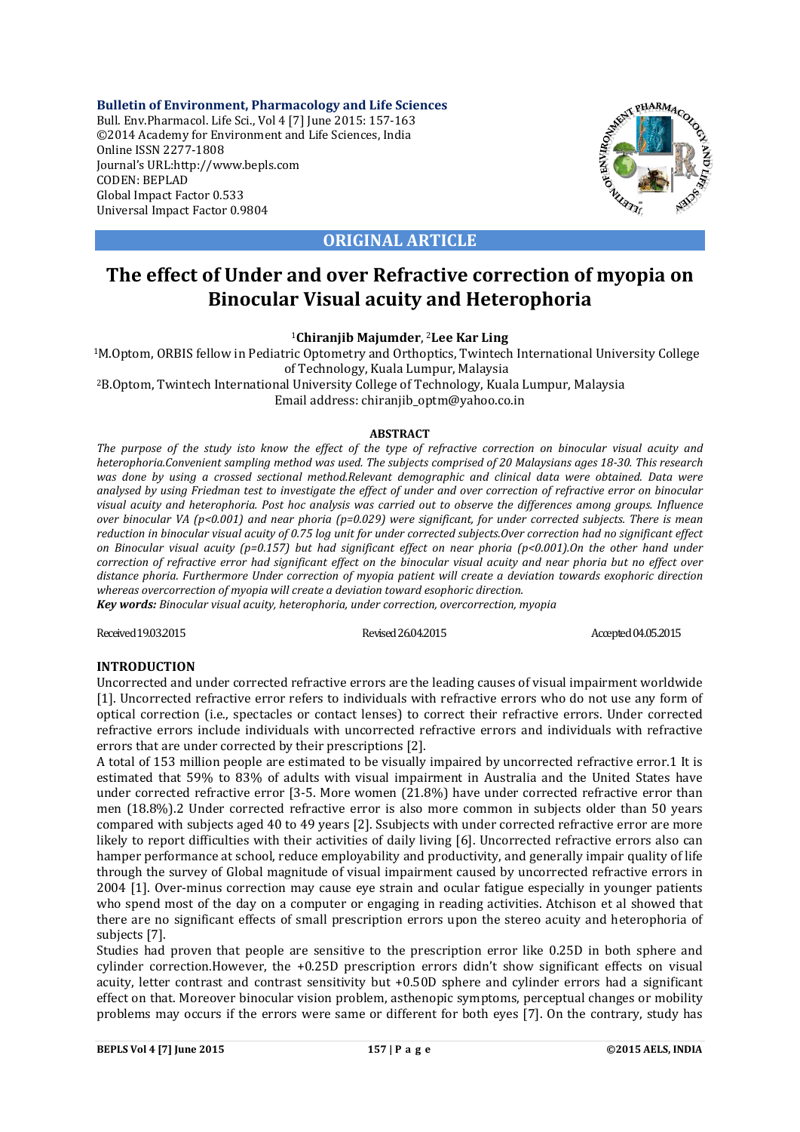**Bulletin of Environment, Pharmacology and Life Sciences** Bull. Env.Pharmacol. Life Sci., Vol 4 [7] June 2015: 157-163 ©2014 Academy for Environment and Life Sciences, India Online ISSN 2277-1808 Journal's URL:http://www.bepls.com CODEN: BEPLAD Global Impact Factor 0.533 Universal Impact Factor 0.9804



**ORIGINAL ARTICLE**

# **The effect of Under and over Refractive correction of myopia on Binocular Visual acuity and Heterophoria**

<sup>1</sup>**Chiranjib Majumder**, 2**Lee Kar Ling**

1M.Optom, ORBIS fellow in Pediatric Optometry and Orthoptics, Twintech International University College of Technology, Kuala Lumpur, Malaysia 2B.Optom, Twintech International University College of Technology, Kuala Lumpur, Malaysia

Email address: chiranjib\_optm@yahoo.co.in

# **ABSTRACT**

*The purpose of the study isto know the effect of the type of refractive correction on binocular visual acuity and heterophoria.Convenient sampling method was used. The subjects comprised of 20 Malaysians ages 18-30. This research*  was done by using a crossed sectional method.Relevant demographic and clinical data were obtained. Data were *analysed by using Friedman test to investigate the effect of under and over correction of refractive error on binocular visual acuity and heterophoria. Post hoc analysis was carried out to observe the differences among groups. Influence over binocular VA (p<0.001) and near phoria (p=0.029) were significant, for under corrected subjects. There is mean reduction in binocular visual acuity of 0.75 log unit for under corrected subjects.Over correction had no significant effect on Binocular visual acuity (p=0.157) but had significant effect on near phoria (p<0.001).On the other hand under correction of refractive error had significant effect on the binocular visual acuity and near phoria but no effect over distance phoria. Furthermore Under correction of myopia patient will create a deviation towards exophoric direction whereas overcorrection of myopia will create a deviation toward esophoric direction.*

*Key words: Binocular visual acuity, heterophoria, under correction, overcorrection, myopia*

Received 19.03.2015 Revised 26.04.2015 Revised 26.04.2015 Accepted 04.05.2015

# **INTRODUCTION**

Uncorrected and under corrected refractive errors are the leading causes of visual impairment worldwide [1]. Uncorrected refractive error refers to individuals with refractive errors who do not use any form of optical correction (i.e., spectacles or contact lenses) to correct their refractive errors. Under corrected refractive errors include individuals with uncorrected refractive errors and individuals with refractive errors that are under corrected by their prescriptions [2].

A total of 153 million people are estimated to be visually impaired by uncorrected refractive error.1 It is estimated that 59% to 83% of adults with visual impairment in Australia and the United States have under corrected refractive error [3-5. More women (21.8%) have under corrected refractive error than men (18.8%).2 Under corrected refractive error is also more common in subjects older than 50 years compared with subjects aged 40 to 49 years [2]. Ssubjects with under corrected refractive error are more likely to report difficulties with their activities of daily living [6]. Uncorrected refractive errors also can hamper performance at school, reduce employability and productivity, and generally impair quality of life through the survey of Global magnitude of visual impairment caused by uncorrected refractive errors in 2004 [1]. Over-minus correction may cause eye strain and ocular fatigue especially in younger patients who spend most of the day on a computer or engaging in reading activities. Atchison et al showed that there are no significant effects of small prescription errors upon the stereo acuity and heterophoria of subjects [7].

Studies had proven that people are sensitive to the prescription error like 0.25D in both sphere and cylinder correction.However, the +0.25D prescription errors didn't show significant effects on visual acuity, letter contrast and contrast sensitivity but +0.50D sphere and cylinder errors had a significant effect on that. Moreover binocular vision problem, asthenopic symptoms, perceptual changes or mobility problems may occurs if the errors were same or different for both eyes [7]. On the contrary, study has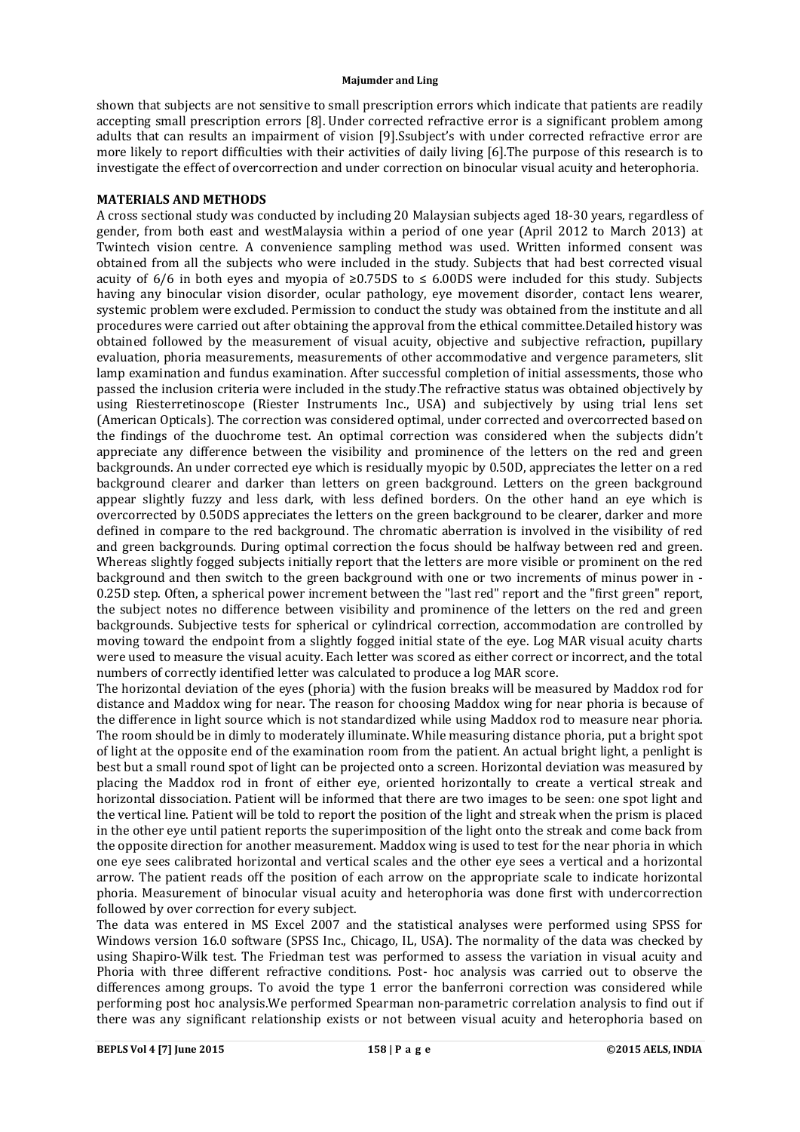shown that subjects are not sensitive to small prescription errors which indicate that patients are readily accepting small prescription errors [8]. Under corrected refractive error is a significant problem among adults that can results an impairment of vision [9].Ssubject's with under corrected refractive error are more likely to report difficulties with their activities of daily living [6].The purpose of this research is to investigate the effect of overcorrection and under correction on binocular visual acuity and heterophoria.

# **MATERIALS AND METHODS**

A cross sectional study was conducted by including 20 Malaysian subjects aged 18-30 years, regardless of gender, from both east and westMalaysia within a period of one year (April 2012 to March 2013) at Twintech vision centre. A convenience sampling method was used. Written informed consent was obtained from all the subjects who were included in the study. Subjects that had best corrected visual acuity of 6/6 in both eyes and myopia of ≥0.75DS to  $\leq$  6.00DS were included for this study. Subjects having any binocular vision disorder, ocular pathology, eye movement disorder, contact lens wearer, systemic problem were excluded. Permission to conduct the study was obtained from the institute and all procedures were carried out after obtaining the approval from the ethical committee.Detailed history was obtained followed by the measurement of visual acuity, objective and subjective refraction, pupillary evaluation, phoria measurements, measurements of other accommodative and vergence parameters, slit lamp examination and fundus examination. After successful completion of initial assessments, those who passed the inclusion criteria were included in the study.The refractive status was obtained objectively by using Riesterretinoscope (Riester Instruments Inc., USA) and subjectively by using trial lens set (American Opticals). The correction was considered optimal, under corrected and overcorrected based on the findings of the duochrome test. An optimal correction was considered when the subjects didn't appreciate any difference between the visibility and prominence of the letters on the red and green backgrounds. An under corrected eye which is residually myopic by 0.50D, appreciates the letter on a red background clearer and darker than letters on green background. Letters on the green background appear slightly fuzzy and less dark, with less defined borders. On the other hand an eye which is overcorrected by 0.50DS appreciates the letters on the green background to be clearer, darker and more defined in compare to the red background. The chromatic aberration is involved in the visibility of red and green backgrounds. During optimal correction the focus should be halfway between red and green. Whereas slightly fogged subjects initially report that the letters are more visible or prominent on the red background and then switch to the green background with one or two increments of minus power in - 0.25D step. Often, a spherical power increment between the "last red" report and the "first green" report, the subject notes no difference between visibility and prominence of the letters on the red and green backgrounds. Subjective tests for spherical or cylindrical correction, accommodation are controlled by moving toward the endpoint from a slightly fogged initial state of the eye. Log MAR visual acuity charts were used to measure the visual acuity. Each letter was scored as either correct or incorrect, and the total numbers of correctly identified letter was calculated to produce a log MAR score.

The horizontal deviation of the eyes (phoria) with the fusion breaks will be measured by Maddox rod for distance and Maddox wing for near. The reason for choosing Maddox wing for near phoria is because of the difference in light source which is not standardized while using Maddox rod to measure near phoria. The room should be in dimly to moderately illuminate. While measuring distance phoria, put a bright spot of light at the opposite end of the examination room from the patient. An actual bright light, a penlight is best but a small round spot of light can be projected onto a screen. Horizontal deviation was measured by placing the Maddox rod in front of either eye, oriented horizontally to create a vertical streak and horizontal dissociation. Patient will be informed that there are two images to be seen: one spot light and the vertical line. Patient will be told to report the position of the light and streak when the prism is placed in the other eye until patient reports the superimposition of the light onto the streak and come back from the opposite direction for another measurement. Maddox wing is used to test for the near phoria in which one eye sees calibrated horizontal and vertical scales and the other eye sees a vertical and a horizontal arrow. The patient reads off the position of each arrow on the appropriate scale to indicate horizontal phoria. Measurement of binocular visual acuity and heterophoria was done first with undercorrection followed by over correction for every subject.

The data was entered in MS Excel 2007 and the statistical analyses were performed using SPSS for Windows version 16.0 software (SPSS Inc., Chicago, IL, USA). The normality of the data was checked by using Shapiro-Wilk test. The Friedman test was performed to assess the variation in visual acuity and Phoria with three different refractive conditions. Post- hoc analysis was carried out to observe the differences among groups. To avoid the type 1 error the banferroni correction was considered while performing post hoc analysis.We performed Spearman non-parametric correlation analysis to find out if there was any significant relationship exists or not between visual acuity and heterophoria based on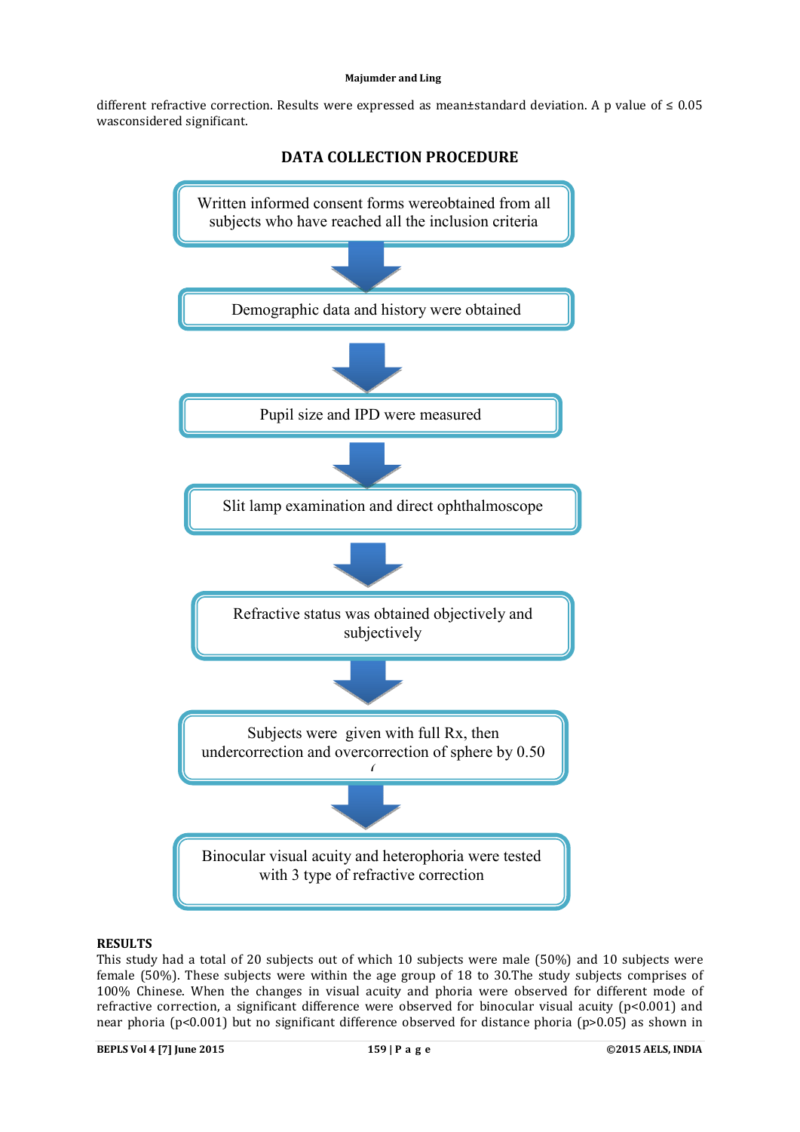different refractive correction. Results were expressed as mean±standard deviation. A p value of  $\leq 0.05$ wasconsidered significant.



# **RESULTS**

This study had a total of 20 subjects out of which 10 subjects were male (50%) and 10 subjects were female (50%). These subjects were within the age group of 18 to 30.The study subjects comprises of 100% Chinese. When the changes in visual acuity and phoria were observed for different mode of refractive correction, a significant difference were observed for binocular visual acuity  $(p<0.001)$  and near phoria (p<0.001) but no significant difference observed for distance phoria (p>0.05) as shown in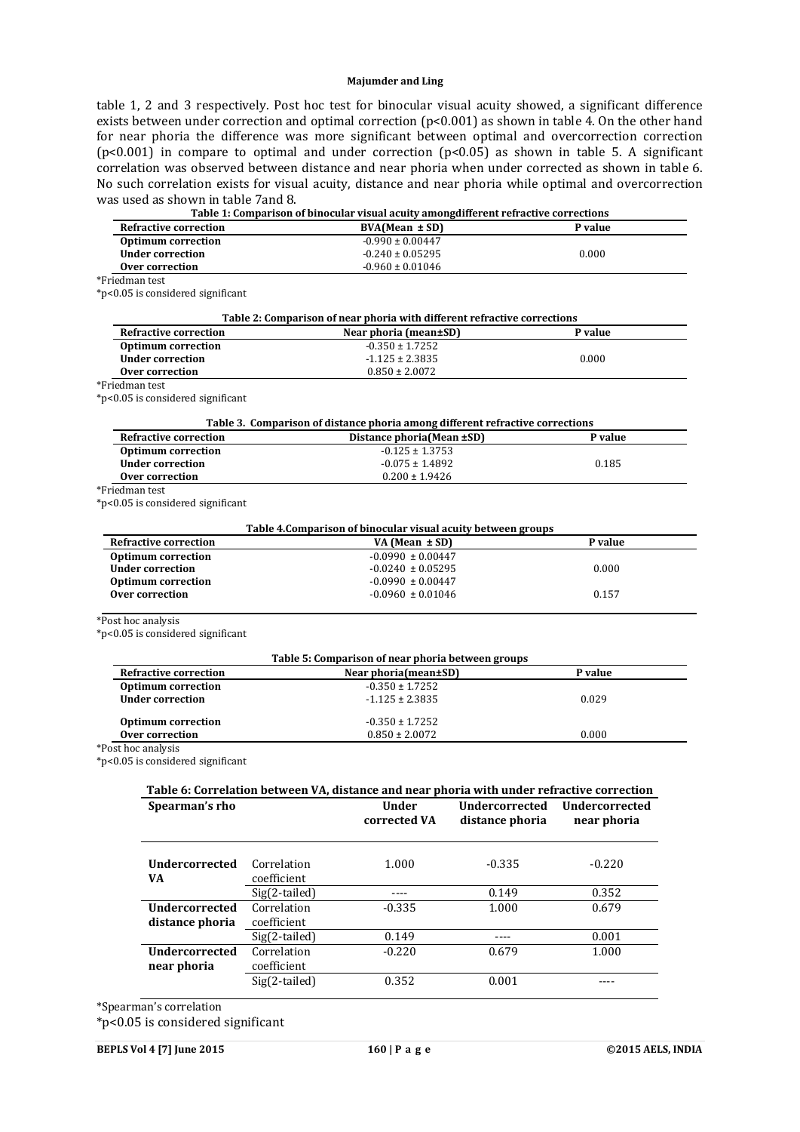table 1, 2 and 3 respectively. Post hoc test for binocular visual acuity showed, a significant difference exists between under correction and optimal correction (p<0.001) as shown in table 4. On the other hand for near phoria the difference was more significant between optimal and overcorrection correction (p<0.001) in compare to optimal and under correction (p<0.05) as shown in table 5. A significant correlation was observed between distance and near phoria when under corrected as shown in table 6. No such correlation exists for visual acuity, distance and near phoria while optimal and overcorrection was used as shown in table 7and 8.

|                                                      |               | Table 1: Comparison of binocular visual acuity among different refractive corrections      |                                     |             |
|------------------------------------------------------|---------------|--------------------------------------------------------------------------------------------|-------------------------------------|-------------|
| <b>Refractive correction</b>                         |               | $BVA(Mean \pm SD)$                                                                         |                                     | P value     |
| <b>Optimum correction</b>                            |               | $-0.990 \pm 0.00447$                                                                       |                                     |             |
| <b>Under correction</b>                              |               | $-0.240 \pm 0.05295$                                                                       | 0.000                               |             |
| Over correction                                      |               | $-0.960 \pm 0.01046$                                                                       |                                     |             |
| *Friedman test                                       |               |                                                                                            |                                     |             |
| *p<0.05 is considered significant                    |               |                                                                                            |                                     |             |
|                                                      |               | Table 2: Comparison of near phoria with different refractive corrections                   |                                     |             |
| <b>Refractive correction</b>                         |               | Near phoria (mean±SD)                                                                      |                                     | P value     |
| <b>Optimum correction</b>                            |               | $-0.350 \pm 1.7252$                                                                        |                                     |             |
| <b>Under correction</b>                              |               | $-1.125 \pm 2.3835$                                                                        |                                     | 0.000       |
| Over correction                                      |               | $0.850 \pm 2.0072$                                                                         |                                     |             |
| *Friedman test<br>*p<0.05 is considered significant  |               |                                                                                            |                                     |             |
|                                                      |               |                                                                                            |                                     |             |
|                                                      |               | Table 3. Comparison of distance phoria among different refractive corrections              |                                     |             |
| <b>Refractive correction</b>                         |               | Distance phoria(Mean ±SD)<br>$-0.125 \pm 1.3753$                                           |                                     | P value     |
| <b>Optimum correction</b><br><b>Under correction</b> |               | $-0.075 \pm 1.4892$                                                                        |                                     | 0.185       |
| Over correction                                      |               | $0.200 \pm 1.9426$                                                                         |                                     |             |
| *Friedman test                                       |               |                                                                                            |                                     |             |
| *p<0.05 is considered significant                    |               |                                                                                            |                                     |             |
|                                                      |               |                                                                                            |                                     |             |
| <b>Refractive correction</b>                         |               | Table 4. Comparison of binocular visual acuity between groups<br>VA (Mean $\pm$ SD)        |                                     | P value     |
| <b>Optimum correction</b>                            |               | $-0.0990 \pm 0.00447$                                                                      |                                     |             |
| <b>Under correction</b>                              |               | $-0.0240 \pm 0.05295$                                                                      |                                     | 0.000       |
| <b>Optimum correction</b>                            |               | $-0.0990 \pm 0.00447$                                                                      |                                     |             |
| Over correction                                      |               | $-0.0960 \pm 0.01046$                                                                      | 0.157                               |             |
| *Post hoc analysis                                   |               |                                                                                            |                                     |             |
| *p<0.05 is considered significant                    |               |                                                                                            |                                     |             |
|                                                      |               |                                                                                            |                                     |             |
|                                                      |               | Table 5: Comparison of near phoria between groups                                          |                                     |             |
| <b>Refractive correction</b>                         |               | Near phoria(mean±SD)                                                                       |                                     | P value     |
| <b>Optimum correction</b><br><b>Under correction</b> |               | $-0.350 \pm 1.7252$<br>$-1.125 \pm 2.3835$                                                 | 0.029                               |             |
|                                                      |               |                                                                                            |                                     |             |
| <b>Optimum correction</b>                            |               | $-0.350 \pm 1.7252$                                                                        |                                     |             |
| <b>Over correction</b>                               |               | $0.850 \pm 2.0072$                                                                         |                                     | 0.000       |
| *Post hoc analysis                                   |               |                                                                                            |                                     |             |
| *p<0.05 is considered significant                    |               |                                                                                            |                                     |             |
|                                                      |               | Table 6: Correlation between VA, distance and near phoria with under refractive correction |                                     |             |
| Spearman's rho                                       |               |                                                                                            | Under Undercorrected Undercorrected |             |
|                                                      |               | corrected VA                                                                               | distance phoria                     | near phoria |
|                                                      |               |                                                                                            |                                     |             |
|                                                      |               |                                                                                            |                                     |             |
| <b>Undercorrected</b>                                | Correlation   | 1.000                                                                                      | $-0.335$                            | $-0.220$    |
| VA                                                   | coefficient   |                                                                                            |                                     |             |
|                                                      | Sig(2-tailed) | $---$                                                                                      | 0.149                               | 0.352       |
| Undercorrected                                       | Correlation   | $-0.335$                                                                                   | 1.000                               | 0.679       |
| distance phoria                                      | coefficient   |                                                                                            |                                     |             |
|                                                      | Sig(2-tailed) | 0.149                                                                                      | $\overline{\phantom{a}}$            | 0.001       |

\*Spearman's correlation

\*p<0.05 is considered significant

**Undercorrected near phoria**

**Correlation** coefficient

Sig(2-tailed) 0.352 0.001 ----

-0.220 0.679 1.000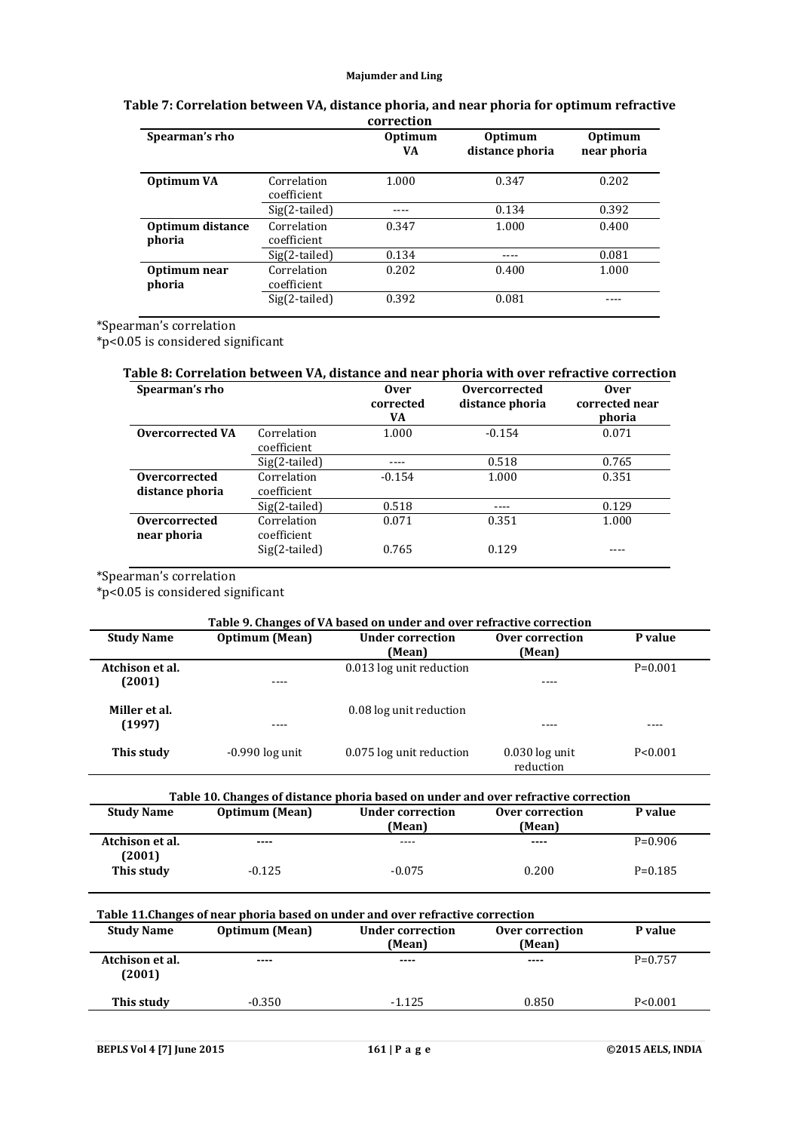|                            |                            | correction           |                                   |                               |
|----------------------------|----------------------------|----------------------|-----------------------------------|-------------------------------|
| Spearman's rho             |                            | <b>Optimum</b><br>VA | <b>Optimum</b><br>distance phoria | <b>Optimum</b><br>near phoria |
| Optimum VA                 | Correlation<br>coefficient | 1.000                | 0.347                             | 0.202                         |
|                            | $Sig(2-tailed)$            |                      | 0.134                             | 0.392                         |
| Optimum distance<br>phoria | Correlation<br>coefficient | 0.347                | 1.000                             | 0.400                         |
|                            | $Sig(2-tailed)$            | 0.134                |                                   | 0.081                         |
| Optimum near<br>phoria     | Correlation<br>coefficient | 0.202                | 0.400                             | 1.000                         |
|                            | $Sig(2-tailed)$            | 0.392                | 0.081                             |                               |

# **Table 7: Correlation between VA, distance phoria, and near phoria for optimum refractive correction**

\*Spearman's correlation

\*p<0.05 is considered significant

# **Table 8: Correlation between VA, distance and near phoria with over refractive correction**

| Spearman's rho          |                 | <b>Over</b><br>corrected<br>VA | Overcorrected<br>distance phoria | <b>Over</b><br>corrected near<br>phoria |
|-------------------------|-----------------|--------------------------------|----------------------------------|-----------------------------------------|
| <b>Overcorrected VA</b> | Correlation     | 1.000                          | $-0.154$                         | 0.071                                   |
|                         | coefficient     |                                |                                  |                                         |
|                         | Sig(2-tailed)   |                                | 0.518                            | 0.765                                   |
| Overcorrected           | Correlation     | $-0.154$                       | 1.000                            | 0.351                                   |
| distance phoria         | coefficient     |                                |                                  |                                         |
|                         | Sig(2-tailed)   | 0.518                          |                                  | 0.129                                   |
| Overcorrected           | Correlation     | 0.071                          | 0.351                            | 1.000                                   |
| near phoria             | coefficient     |                                |                                  |                                         |
|                         | $Sig(2-tailed)$ | 0.765                          | 0.129                            |                                         |

\*Spearman's correlation

\*p<0.05 is considered significant

| Table 9. Changes of VA based on under and over refractive correction |                       |                                   |                               |           |
|----------------------------------------------------------------------|-----------------------|-----------------------------------|-------------------------------|-----------|
| <b>Study Name</b>                                                    | <b>Optimum</b> (Mean) | <b>Under correction</b><br>(Mean) | Over correction<br>(Mean)     | P value   |
| Atchison et al.<br>(2001)                                            | ----                  | 0.013 log unit reduction          |                               | $P=0.001$ |
| Miller et al.<br>(1997)                                              | ----                  | 0.08 log unit reduction           |                               | ----      |
| This study                                                           | $-0.990$ log unit     | 0.075 log unit reduction          | $0.030$ log unit<br>reduction | P < 0.001 |

| Table 10. Changes of distance phoria based on under and over refractive correction |                       |                                   |                           |           |  |
|------------------------------------------------------------------------------------|-----------------------|-----------------------------------|---------------------------|-----------|--|
| <b>Study Name</b>                                                                  | <b>Optimum</b> (Mean) | <b>Under correction</b><br>(Mean) | Over correction<br>(Mean) | P value   |  |
| Atchison et al.<br>(2001)                                                          | ----                  | ----                              | $\cdots$                  | $P=0.906$ |  |
| This study                                                                         | $-0.125$              | $-0.075$                          | 0.200                     | $P=0.185$ |  |

| Table 11. Changes of near phoria based on under and over refractive correction |                       |                            |                           |           |  |
|--------------------------------------------------------------------------------|-----------------------|----------------------------|---------------------------|-----------|--|
| <b>Study Name</b>                                                              | <b>Optimum</b> (Mean) | Under correction<br>(Mean) | Over correction<br>(Mean) | P value   |  |
| Atchison et al.<br>(2001)                                                      | $\cdots$              | ----                       | $- - - -$                 | $P=0.757$ |  |
| This study                                                                     | $-0.350$              | $-1.125$                   | 0.850                     | P < 0.001 |  |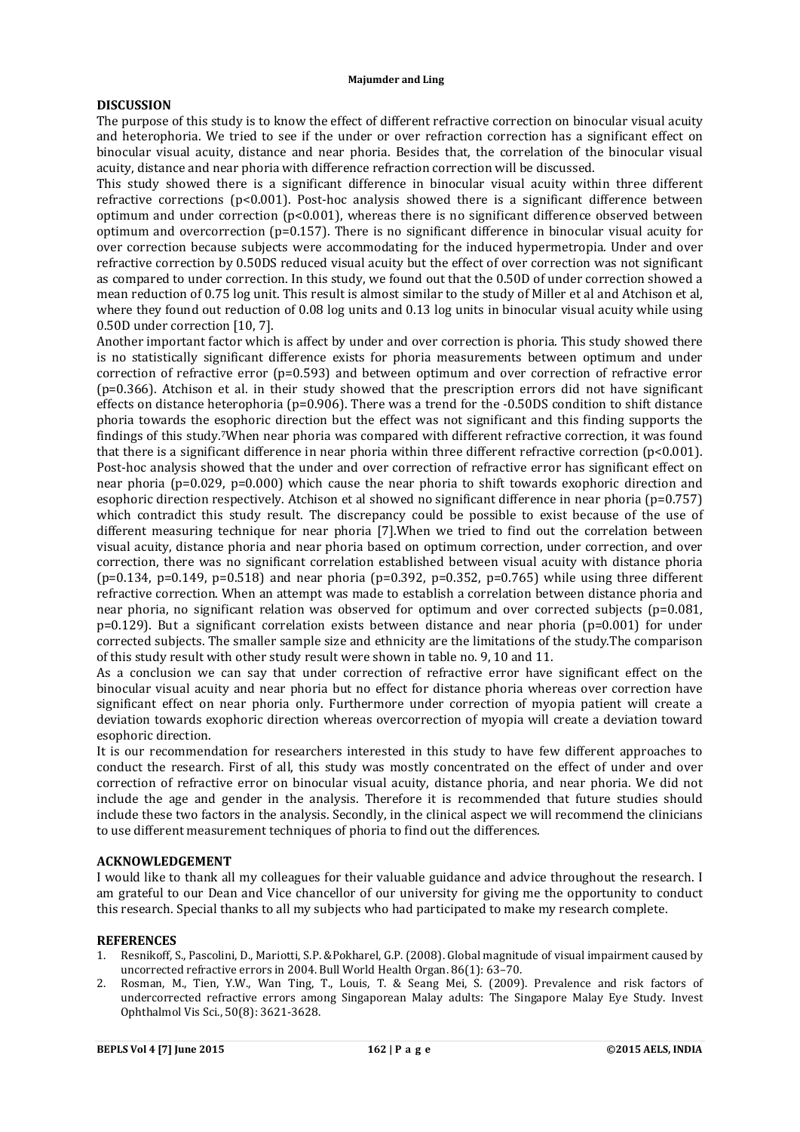# **DISCUSSION**

The purpose of this study is to know the effect of different refractive correction on binocular visual acuity and heterophoria. We tried to see if the under or over refraction correction has a significant effect on binocular visual acuity, distance and near phoria. Besides that, the correlation of the binocular visual acuity, distance and near phoria with difference refraction correction will be discussed.

This study showed there is a significant difference in binocular visual acuity within three different refractive corrections  $(p<0.001)$ . Post-hoc analysis showed there is a significant difference between optimum and under correction (p<0.001), whereas there is no significant difference observed between optimum and overcorrection (p=0.157). There is no significant difference in binocular visual acuity for over correction because subjects were accommodating for the induced hypermetropia. Under and over refractive correction by 0.50DS reduced visual acuity but the effect of over correction was not significant as compared to under correction. In this study, we found out that the 0.50D of under correction showed a mean reduction of 0.75 log unit. This result is almost similar to the study of Miller et al and Atchison et al, where they found out reduction of 0.08 log units and 0.13 log units in binocular visual acuity while using 0.50D under correction [10, 7].

Another important factor which is affect by under and over correction is phoria. This study showed there is no statistically significant difference exists for phoria measurements between optimum and under correction of refractive error (p=0.593) and between optimum and over correction of refractive error (p=0.366). Atchison et al. in their study showed that the prescription errors did not have significant effects on distance heterophoria ( $p=0.906$ ). There was a trend for the  $-0.50DS$  condition to shift distance phoria towards the esophoric direction but the effect was not significant and this finding supports the findings of this study.7When near phoria was compared with different refractive correction, it was found that there is a significant difference in near phoria within three different refractive correction (p<0.001). Post-hoc analysis showed that the under and over correction of refractive error has significant effect on near phoria (p=0.029, p=0.000) which cause the near phoria to shift towards exophoric direction and esophoric direction respectively. Atchison et al showed no significant difference in near phoria (p=0.757) which contradict this study result. The discrepancy could be possible to exist because of the use of different measuring technique for near phoria [7].When we tried to find out the correlation between visual acuity, distance phoria and near phoria based on optimum correction, under correction, and over correction, there was no significant correlation established between visual acuity with distance phoria (p=0.134, p=0.149, p=0.518) and near phoria (p=0.392, p=0.352, p=0.765) while using three different refractive correction. When an attempt was made to establish a correlation between distance phoria and near phoria, no significant relation was observed for optimum and over corrected subjects (p=0.081, p=0.129). But a significant correlation exists between distance and near phoria (p=0.001) for under corrected subjects. The smaller sample size and ethnicity are the limitations of the study.The comparison of this study result with other study result were shown in table no. 9, 10 and 11.

As a conclusion we can say that under correction of refractive error have significant effect on the binocular visual acuity and near phoria but no effect for distance phoria whereas over correction have significant effect on near phoria only. Furthermore under correction of myopia patient will create a deviation towards exophoric direction whereas overcorrection of myopia will create a deviation toward esophoric direction.

It is our recommendation for researchers interested in this study to have few different approaches to conduct the research. First of all, this study was mostly concentrated on the effect of under and over correction of refractive error on binocular visual acuity, distance phoria, and near phoria. We did not include the age and gender in the analysis. Therefore it is recommended that future studies should include these two factors in the analysis. Secondly, in the clinical aspect we will recommend the clinicians to use different measurement techniques of phoria to find out the differences.

# **ACKNOWLEDGEMENT**

I would like to thank all my colleagues for their valuable guidance and advice throughout the research. I am grateful to our Dean and Vice chancellor of our university for giving me the opportunity to conduct this research. Special thanks to all my subjects who had participated to make my research complete.

#### **REFERENCES**

- 1. Resnikoff, S., Pascolini, D., Mariotti, S.P. &Pokharel, G.P. (2008). Global magnitude of visual impairment caused by uncorrected refractive errors in 2004. Bull World Health Organ. 86(1): 63–70.
- 2. Rosman, M., Tien, Y.W., Wan Ting, T., Louis, T. & Seang Mei, S. (2009). Prevalence and risk factors of undercorrected refractive errors among Singaporean Malay adults: The Singapore Malay Eye Study. Invest Ophthalmol Vis Sci., 50(8): 3621-3628.